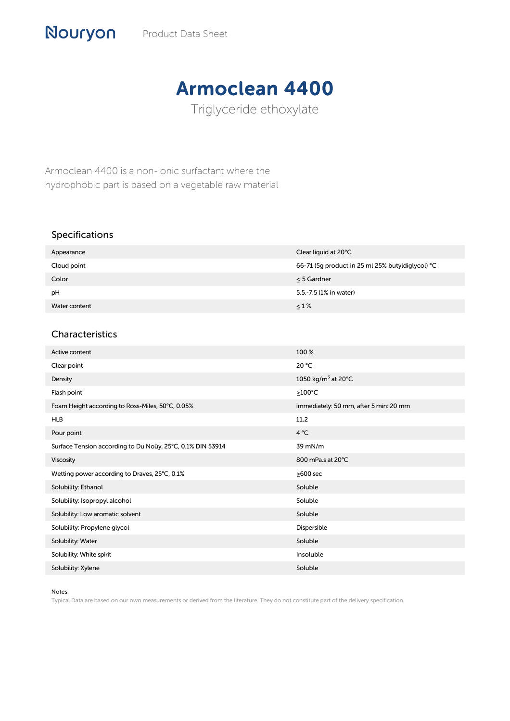## Armoclean 4400

Triglyceride ethoxylate

Armoclean 4400 is a non-ionic surfactant where the hydrophobic part is based on a vegetable raw material

## Specifications

| Appearance    | Clear liquid at 20°C                             |
|---------------|--------------------------------------------------|
| Cloud point   | 66-71 (5q product in 25 ml 25% butyldiglycol) °C |
| Color         | < 5 Gardner                                      |
| pH            | 5.5.-7.5 (1% in water)                           |
| Water content | $\leq 1\%$                                       |

## Characteristics

| Active content                                             | 100 %                                     |
|------------------------------------------------------------|-------------------------------------------|
| Clear point                                                | 20 °C                                     |
| Density                                                    | 1050 kg/m <sup>3</sup> at 20 $^{\circ}$ C |
| Flash point                                                | $\geq$ 100°C                              |
| Foam Height according to Ross-Miles, 50°C, 0.05%           | immediately: 50 mm, after 5 min: 20 mm    |
| <b>HLB</b>                                                 | 11.2                                      |
| Pour point                                                 | $4^{\circ}C$                              |
| Surface Tension according to Du Noüy, 25°C, 0.1% DIN 53914 | 39 mN/m                                   |
| Viscosity                                                  | 800 mPa.s at 20°C                         |
| Wetting power according to Draves, 25°C, 0.1%              | $\geq$ 600 sec                            |
| Solubility: Ethanol                                        | Soluble                                   |
| Solubility: Isopropyl alcohol                              | Soluble                                   |
| Solubility: Low aromatic solvent                           | Soluble                                   |
| Solubility: Propylene glycol                               | Dispersible                               |
| Solubility: Water                                          | Soluble                                   |
| Solubility: White spirit                                   | Insoluble                                 |
| Solubility: Xylene                                         | Soluble                                   |

## Notes:

Typical Data are based on our own measurements or derived from the literature. They do not constitute part of the delivery specification.